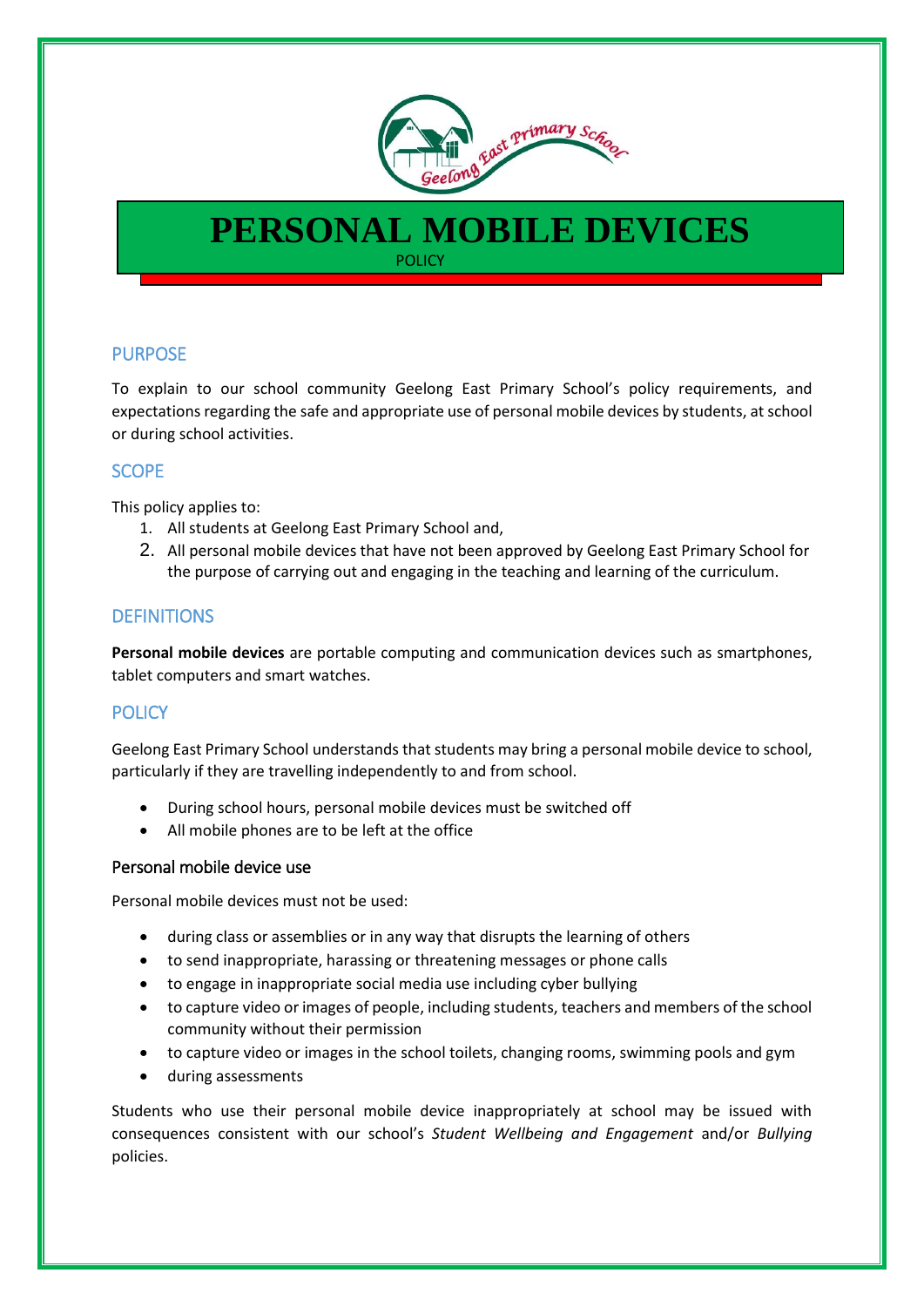

# **PERSONAL MOBILE DEVICES** POLICY

PURPOSE

To explain to our school community Geelong East Primary School's policy requirements, and expectations regarding the safe and appropriate use of personal mobile devices by students, at school or during school activities.

## SCOPE

This policy applies to:

- 1. All students at Geelong East Primary School and,
- 2. All personal mobile devices that have not been approved by Geelong East Primary School for the purpose of carrying out and engaging in the teaching and learning of the curriculum.

## **DEFINITIONS**

**Personal mobile devices** are portable computing and communication devices such as smartphones, tablet computers and smart watches.

## **POLICY**

Geelong East Primary School understands that students may bring a personal mobile device to school, particularly if they are travelling independently to and from school.

- During school hours, personal mobile devices must be switched off
- All mobile phones are to be left at the office

#### Personal mobile device use

Personal mobile devices must not be used:

- during class or assemblies or in any way that disrupts the learning of others
- to send inappropriate, harassing or threatening messages or phone calls
- to engage in inappropriate social media use including cyber bullying
- to capture video or images of people, including students, teachers and members of the school community without their permission
- to capture video or images in the school toilets, changing rooms, swimming pools and gym
- during assessments

Students who use their personal mobile device inappropriately at school may be issued with consequences consistent with our school's *Student Wellbeing and Engagement* and/or *Bullying*  policies.